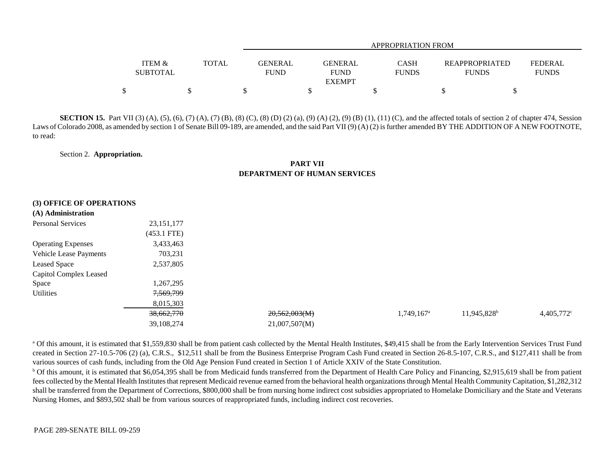|                                      |       |                        | APPROPRIATION FROM            |                             |                                       |                                |  |  |  |  |
|--------------------------------------|-------|------------------------|-------------------------------|-----------------------------|---------------------------------------|--------------------------------|--|--|--|--|
| <b>ITEM &amp;</b><br><b>SUBTOTAL</b> | TOTAL | GENERAL<br><b>FUND</b> | <b>GENERAL</b><br><b>FUND</b> | <b>CASH</b><br><b>FUNDS</b> | <b>REAPPROPRIATED</b><br><b>FUNDS</b> | <b>FEDERAL</b><br><b>FUNDS</b> |  |  |  |  |
|                                      |       |                        | <b>EXEMPT</b>                 |                             |                                       |                                |  |  |  |  |
| Φ                                    |       |                        |                               |                             |                                       |                                |  |  |  |  |

**SECTION 15.** Part VII (3) (A), (5), (6), (7) (A), (7) (B), (8) (C), (8) (D) (2) (a), (9) (A) (2), (9) (B) (1), (11) (C), and the affected totals of section 2 of chapter 474, Session Laws of Colorado 2008, as amended by section 1 of Senate Bill 09-189, are amended, and the said Part VII (9) (A) (2) is further amended BY THE ADDITION OF A NEW FOOTNOTE, to read:

Section 2. **Appropriation.**

### **PART VIIDEPARTMENT OF HUMAN SERVICES**

|  |  |  | (3) OFFICE OF OPERATIONS |  |
|--|--|--|--------------------------|--|
|--|--|--|--------------------------|--|

### **(A) Administration**

| (A) Aunimistration            |               |               |                          |                         |               |
|-------------------------------|---------------|---------------|--------------------------|-------------------------|---------------|
| <b>Personal Services</b>      | 23, 151, 177  |               |                          |                         |               |
|                               | $(453.1$ FTE) |               |                          |                         |               |
| <b>Operating Expenses</b>     | 3,433,463     |               |                          |                         |               |
| <b>Vehicle Lease Payments</b> | 703,231       |               |                          |                         |               |
| <b>Leased Space</b>           | 2,537,805     |               |                          |                         |               |
| <b>Capitol Complex Leased</b> |               |               |                          |                         |               |
| Space                         | 1,267,295     |               |                          |                         |               |
| Utilities                     | 7,569,799     |               |                          |                         |               |
|                               | 8,015,303     |               |                          |                         |               |
|                               | 38,662,770    | 20,562,003(M) | $1,749,167$ <sup>a</sup> | 11,945,828 <sup>b</sup> | $4,405,772$ ° |
|                               | 39,108,274    | 21,007,507(M) |                          |                         |               |
|                               |               |               |                          |                         |               |

<sup>a</sup> Of this amount, it is estimated that \$1,559,830 shall be from patient cash collected by the Mental Health Institutes, \$49,415 shall be from the Early Intervention Services Trust Fund created in Section 27-10.5-706 (2) (a), C.R.S., \$12,511 shall be from the Business Enterprise Program Cash Fund created in Section 26-8.5-107, C.R.S., and \$127,411 shall be from various sources of cash funds, including from the Old Age Pension Fund created in Section 1 of Article XXIV of the State Constitution.

 $b$  Of this amount, it is estimated that \$6,054,395 shall be from Medicaid funds transferred from the Department of Health Care Policy and Financing, \$2,915,619 shall be from patient fees collected by the Mental Health Institutes that represent Medicaid revenue earned from the behavioral health organizations through Mental Health Community Capitation, \$1,282,312 shall be transferred from the Department of Corrections, \$800,000 shall be from nursing home indirect cost subsidies appropriated to Homelake Domiciliary and the State and Veterans Nursing Homes, and \$893,502 shall be from various sources of reappropriated funds, including indirect cost recoveries.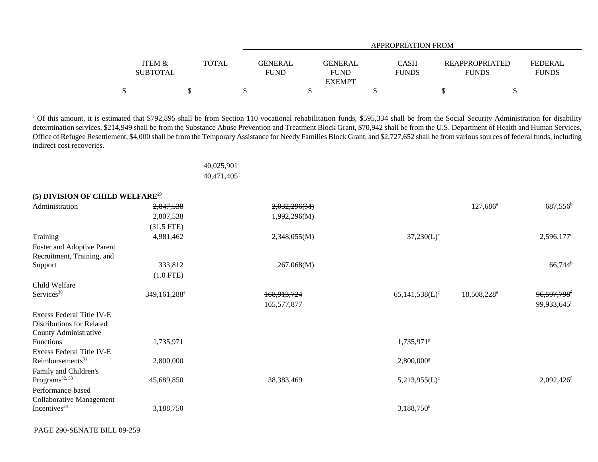|                   |              |             | APPROPRIATION FROM |              |                       |                |  |  |  |  |  |
|-------------------|--------------|-------------|--------------------|--------------|-----------------------|----------------|--|--|--|--|--|
|                   |              |             |                    |              |                       |                |  |  |  |  |  |
| <b>ITEM &amp;</b> | <b>TOTAL</b> | GENERAL     | <b>GENERAL</b>     | <b>CASH</b>  | <b>REAPPROPRIATED</b> | <b>FEDERAL</b> |  |  |  |  |  |
| <b>SUBTOTAL</b>   |              | <b>FUND</b> | <b>FUND</b>        | <b>FUNDS</b> | <b>FUNDS</b>          | <b>FUNDS</b>   |  |  |  |  |  |
|                   |              |             | <b>EXEMPT</b>      |              |                       |                |  |  |  |  |  |
|                   |              |             |                    |              |                       |                |  |  |  |  |  |

<sup>c</sup> Of this amount, it is estimated that \$792,895 shall be from Section 110 vocational rehabilitation funds, \$595,334 shall be from the Social Security Administration for disability determination services, \$214,949 shall be from the Substance Abuse Prevention and Treatment Block Grant, \$70,942 shall be from the U.S. Department of Health and Human Services, Office of Refugee Resettlement, \$4,000 shall be from the Temporary Assistance for Needy Families Block Grant, and \$2,727,652 shall be from various sources of federal funds, including indirect cost recoveries.

> 40,025,901 40,471,405

| (5) DIVISION OF CHILD WELFARE <sup>29</sup> |                                                   |                   |                                                                                                    |                          |
|---------------------------------------------|---------------------------------------------------|-------------------|----------------------------------------------------------------------------------------------------|--------------------------|
| 2,847,538                                   | 2,032,296(M)                                      |                   | $127,686^{\circ}$                                                                                  | $687,556^{\rm b}$        |
| 2,807,538                                   | 1,992,296(M)                                      |                   |                                                                                                    |                          |
| $(31.5$ FTE)                                |                                                   |                   |                                                                                                    |                          |
| 4,981,462                                   | 2,348,055(M)                                      | $37,230(L)^c$     |                                                                                                    | $2,596,177$ <sup>d</sup> |
|                                             |                                                   |                   |                                                                                                    |                          |
|                                             |                                                   |                   |                                                                                                    |                          |
| 333,812                                     | 267,068(M)                                        |                   |                                                                                                    | $66,744^b$               |
| $(1.0$ FTE)                                 |                                                   |                   |                                                                                                    |                          |
|                                             |                                                   |                   |                                                                                                    |                          |
| 349,161,288 <sup>e</sup>                    | 168, 913, 724                                     | $65,141,538(L)^c$ | 18,508,228 <sup>a</sup>                                                                            | 96,597,798f              |
|                                             | 165,577,877                                       |                   |                                                                                                    | 99,933,645f              |
|                                             |                                                   |                   |                                                                                                    |                          |
|                                             |                                                   |                   |                                                                                                    |                          |
|                                             |                                                   |                   |                                                                                                    |                          |
|                                             |                                                   |                   |                                                                                                    |                          |
|                                             |                                                   |                   |                                                                                                    |                          |
|                                             |                                                   |                   |                                                                                                    |                          |
|                                             |                                                   |                   |                                                                                                    |                          |
|                                             |                                                   |                   |                                                                                                    | $2,092,426$ <sup>f</sup> |
|                                             |                                                   |                   |                                                                                                    |                          |
|                                             |                                                   |                   |                                                                                                    |                          |
|                                             |                                                   |                   |                                                                                                    |                          |
|                                             | 1,735,971<br>2,800,000<br>45,689,850<br>3,188,750 | 38, 383, 469      | 1,735,971 <sup>g</sup><br>$2,800,000$ <sup>g</sup><br>$5,213,955(L)^c$<br>$3,188,750$ <sup>h</sup> |                          |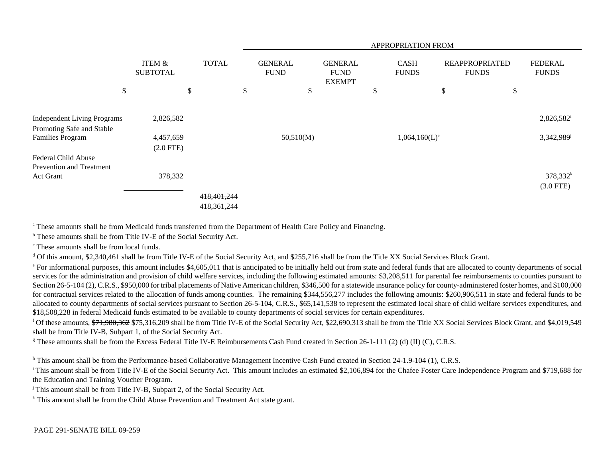|                                    |                           |              | APPROPRIATION FROM |                               |                                                |   |                             |                                       |                                |  |
|------------------------------------|---------------------------|--------------|--------------------|-------------------------------|------------------------------------------------|---|-----------------------------|---------------------------------------|--------------------------------|--|
|                                    | ITEM &<br><b>SUBTOTAL</b> | <b>TOTAL</b> |                    | <b>GENERAL</b><br><b>FUND</b> | <b>GENERAL</b><br><b>FUND</b><br><b>EXEMPT</b> |   | <b>CASH</b><br><b>FUNDS</b> | <b>REAPPROPRIATED</b><br><b>FUNDS</b> | <b>FEDERAL</b><br><b>FUNDS</b> |  |
| \$                                 | \$                        |              | \$                 | \$                            |                                                | D |                             | \$                                    | \$                             |  |
|                                    |                           |              |                    |                               |                                                |   |                             |                                       |                                |  |
| <b>Independent Living Programs</b> | 2,826,582                 |              |                    |                               |                                                |   |                             |                                       | $2,826,582^i$                  |  |
| Promoting Safe and Stable          |                           |              |                    |                               |                                                |   |                             |                                       |                                |  |
| <b>Families Program</b>            | 4,457,659                 |              |                    | 50,510(M)                     |                                                |   | $1,064,160(L)^c$            |                                       | $3,342,989$ <sup>j</sup>       |  |
|                                    | $(2.0$ FTE)               |              |                    |                               |                                                |   |                             |                                       |                                |  |
| Federal Child Abuse                |                           |              |                    |                               |                                                |   |                             |                                       |                                |  |
| <b>Prevention and Treatment</b>    |                           |              |                    |                               |                                                |   |                             |                                       |                                |  |
| Act Grant                          | 378,332                   |              |                    |                               |                                                |   |                             |                                       | $378,332^k$                    |  |
|                                    |                           |              |                    |                               |                                                |   |                             |                                       | $(3.0$ FTE)                    |  |
|                                    |                           | 418,401,244  |                    |                               |                                                |   |                             |                                       |                                |  |
|                                    |                           | 418,361,244  |                    |                               |                                                |   |                             |                                       |                                |  |

a These amounts shall be from Medicaid funds transferred from the Department of Health Care Policy and Financing.

b These amounts shall be from Title IV-E of the Social Security Act.

c These amounts shall be from local funds.

<sup>d</sup> Of this amount, \$2,340,461 shall be from Title IV-E of the Social Security Act, and \$255,716 shall be from the Title XX Social Services Block Grant.

<sup>e</sup> For informational purposes, this amount includes \$4,605,011 that is anticipated to be initially held out from state and federal funds that are allocated to county departments of social services for the administration and provision of child welfare services, including the following estimated amounts: \$3,208,511 for parental fee reimbursements to counties pursuant to Section 26-5-104 (2), C.R.S., \$950,000 for tribal placements of Native American children, \$346,500 for a statewide insurance policy for county-administered foster homes, and \$100,000 for contractual services related to the allocation of funds among counties. The remaining \$344,556,277 includes the following amounts: \$260,906,511 in state and federal funds to be allocated to county departments of social services pursuant to Section 26-5-104, C.R.S., \$65,141,538 to represent the estimated local share of child welfare services expenditures, and \$18,508,228 in federal Medicaid funds estimated to be available to county departments of social services for certain expenditures.

<sup>f</sup> Of these amounts, \$71,980,362 \$75,316,209 shall be from Title IV-E of the Social Security Act, \$22,690,313 shall be from the Title XX Social Services Block Grant, and \$4,019,549 shall be from Title IV-B, Subpart 1, of the Social Security Act.

<sup>g</sup> These amounts shall be from the Excess Federal Title IV-E Reimbursements Cash Fund created in Section 26-1-111 (2) (d) (II) (C), C.R.S.

<sup>h</sup> This amount shall be from the Performance-based Collaborative Management Incentive Cash Fund created in Section 24-1.9-104 (1), C.R.S.

<sup>i</sup> This amount shall be from Title IV-E of the Social Security Act. This amount includes an estimated \$2,106,894 for the Chafee Foster Care Independence Program and \$719,688 for the Education and Training Voucher Program.

<sup>j</sup> This amount shall be from Title IV-B, Subpart 2, of the Social Security Act.

 $k$  This amount shall be from the Child Abuse Prevention and Treatment Act state grant.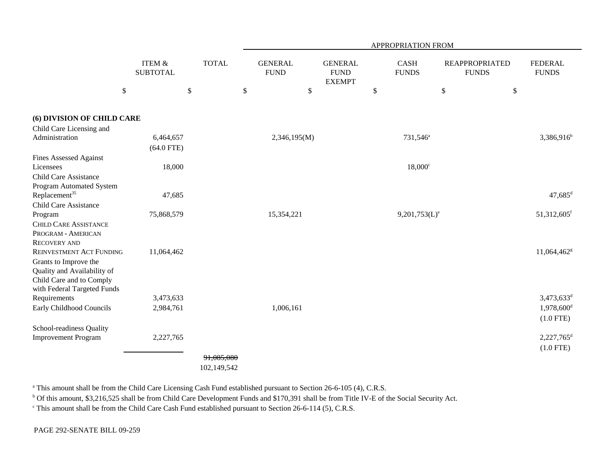|                                                        |                                      |              |                               | APPROPRIATION FROM                             |                             |                                       |                                |  |  |  |
|--------------------------------------------------------|--------------------------------------|--------------|-------------------------------|------------------------------------------------|-----------------------------|---------------------------------------|--------------------------------|--|--|--|
|                                                        | <b>ITEM &amp;</b><br><b>SUBTOTAL</b> | <b>TOTAL</b> | <b>GENERAL</b><br><b>FUND</b> | <b>GENERAL</b><br><b>FUND</b><br><b>EXEMPT</b> | <b>CASH</b><br><b>FUNDS</b> | <b>REAPPROPRIATED</b><br><b>FUNDS</b> | <b>FEDERAL</b><br><b>FUNDS</b> |  |  |  |
| $\$$                                                   |                                      | \$           | \$                            | \$                                             | \$                          | \$                                    | \$                             |  |  |  |
| (6) DIVISION OF CHILD CARE                             |                                      |              |                               |                                                |                             |                                       |                                |  |  |  |
| Child Care Licensing and                               |                                      |              |                               |                                                |                             |                                       |                                |  |  |  |
| Administration                                         | 6,464,657                            |              | 2,346,195(M)                  |                                                | 731,546 <sup>a</sup>        |                                       | $3,386,916^b$                  |  |  |  |
|                                                        | $(64.0$ FTE)                         |              |                               |                                                |                             |                                       |                                |  |  |  |
| <b>Fines Assessed Against</b>                          |                                      |              |                               |                                                |                             |                                       |                                |  |  |  |
| Licensees                                              | 18,000                               |              |                               |                                                | $18,000^{\circ}$            |                                       |                                |  |  |  |
| <b>Child Care Assistance</b>                           |                                      |              |                               |                                                |                             |                                       |                                |  |  |  |
| Program Automated System                               |                                      |              |                               |                                                |                             |                                       |                                |  |  |  |
| Replacement <sup>35</sup>                              | 47,685                               |              |                               |                                                |                             |                                       | $47,685$ <sup>d</sup>          |  |  |  |
| <b>Child Care Assistance</b>                           |                                      |              |                               |                                                |                             |                                       |                                |  |  |  |
| Program                                                | 75,868,579                           |              | 15,354,221                    |                                                | $9,201,753(L)^e$            |                                       | $51,312,605$ <sup>f</sup>      |  |  |  |
| <b>CHILD CARE ASSISTANCE</b>                           |                                      |              |                               |                                                |                             |                                       |                                |  |  |  |
| PROGRAM - AMERICAN                                     |                                      |              |                               |                                                |                             |                                       |                                |  |  |  |
| <b>RECOVERY AND</b><br><b>REINVESTMENT ACT FUNDING</b> | 11,064,462                           |              |                               |                                                |                             |                                       | 11,064,462 <sup>g</sup>        |  |  |  |
|                                                        |                                      |              |                               |                                                |                             |                                       |                                |  |  |  |
| Grants to Improve the<br>Quality and Availability of   |                                      |              |                               |                                                |                             |                                       |                                |  |  |  |
| Child Care and to Comply                               |                                      |              |                               |                                                |                             |                                       |                                |  |  |  |
| with Federal Targeted Funds                            |                                      |              |                               |                                                |                             |                                       |                                |  |  |  |
| Requirements                                           | 3,473,633                            |              |                               |                                                |                             |                                       | $3,473,633^d$                  |  |  |  |
| Early Childhood Councils                               | 2,984,761                            |              | 1,006,161                     |                                                |                             |                                       | $1,978,600$ <sup>d</sup>       |  |  |  |
|                                                        |                                      |              |                               |                                                |                             |                                       | $(1.0$ FTE)                    |  |  |  |
| School-readiness Quality                               |                                      |              |                               |                                                |                             |                                       |                                |  |  |  |
| <b>Improvement Program</b>                             | 2,227,765                            |              |                               |                                                |                             |                                       | $2,227,765$ <sup>d</sup>       |  |  |  |
|                                                        |                                      |              |                               |                                                |                             |                                       | $(1.0$ FTE)                    |  |  |  |
|                                                        |                                      | 91,085,080   |                               |                                                |                             |                                       |                                |  |  |  |
|                                                        |                                      | 102,149,542  |                               |                                                |                             |                                       |                                |  |  |  |

<sup>a</sup> This amount shall be from the Child Care Licensing Cash Fund established pursuant to Section 26-6-105 (4), C.R.S.

<sup>b</sup> Of this amount, \$3,216,525 shall be from Child Care Development Funds and \$170,391 shall be from Title IV-E of the Social Security Act.

<sup>c</sup> This amount shall be from the Child Care Cash Fund established pursuant to Section 26-6-114 (5), C.R.S.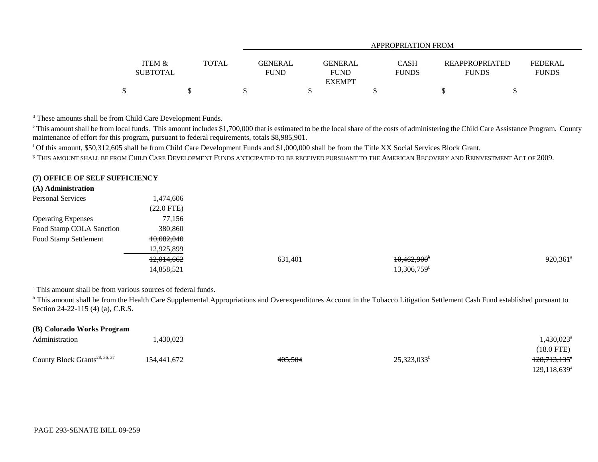|                   |              |                | <b>APPROPRIATION FROM</b>    |              |                       |                |  |  |  |  |
|-------------------|--------------|----------------|------------------------------|--------------|-----------------------|----------------|--|--|--|--|
|                   |              |                |                              |              |                       |                |  |  |  |  |
| <b>ITEM &amp;</b> | <b>TOTAL</b> | <b>GENERAL</b> | <b>GENERAL</b>               | <b>CASH</b>  | <b>REAPPROPRIATED</b> | <b>FEDERAL</b> |  |  |  |  |
| <b>SUBTOTAL</b>   |              | <b>FUND</b>    | <b>FUND</b><br><b>EXEMPT</b> | <b>FUNDS</b> | <b>FUNDS</b>          | <b>FUNDS</b>   |  |  |  |  |
|                   |              |                |                              |              |                       |                |  |  |  |  |

d These amounts shall be from Child Care Development Funds.

<sup>e</sup> This amount shall be from local funds. This amount includes \$1,700,000 that is estimated to be the local share of the costs of administering the Child Care Assistance Program. County maintenance of effort for this program, pursuant to federal requirements, totals \$8,985,901.

f Of this amount, \$50,312,605 shall be from Child Care Development Funds and \$1,000,000 shall be from the Title XX Social Services Block Grant.

 $^\mathrm{g}$  This amount shall be from Child Care Development Funds anticipated to be received pursuant to the American Recovery and Reinvestment Act of 2009.

#### **(7) OFFICE OF SELF SUFFICIENCY**

### **(A) Administration**

| <b>Personal Services</b>  | 1,474,606    |         |                         |                        |
|---------------------------|--------------|---------|-------------------------|------------------------|
|                           | $(22.0$ FTE) |         |                         |                        |
| <b>Operating Expenses</b> | 77,156       |         |                         |                        |
| Food Stamp COLA Sanction  | 380,860      |         |                         |                        |
| Food Stamp Settlement     | 10,082,040   |         |                         |                        |
|                           | 12,925,899   |         |                         |                        |
|                           | 12,014,662   | 631,401 | $10,462,900^{\circ}$    | $920,361$ <sup>a</sup> |
|                           | 14,858,521   |         | 13,306,759 <sup>b</sup> |                        |

<sup>a</sup> This amount shall be from various sources of federal funds.

<sup>b</sup> This amount shall be from the Health Care Supplemental Appropriations and Overexpenditures Account in the Tobacco Litigation Settlement Cash Fund established pursuant to Section 24-22-115 (4) (a), C.R.S.

| (B) Colorado Works Program                |             |         |                |                          |  |  |  |  |
|-------------------------------------------|-------------|---------|----------------|--------------------------|--|--|--|--|
| Administration                            | .430,023    |         |                | $430,023$ <sup>a</sup>   |  |  |  |  |
|                                           |             |         |                | $(18.0$ FTE)             |  |  |  |  |
| County Block Grants <sup>28, 36, 37</sup> | 154,441,672 | 405,504 | $25,323,033^b$ | <del>128,713,135</del> * |  |  |  |  |
|                                           |             |         |                | $129,118,639^{\circ}$    |  |  |  |  |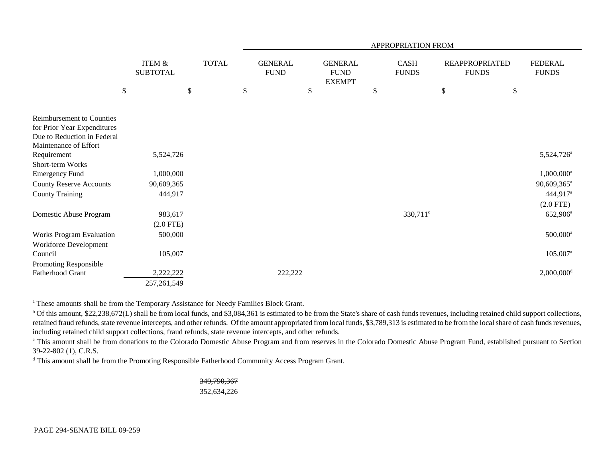|                                                            |        |                                      |        |              |                               |                                                | APPROPRIATION FROM          |                                       |                                |
|------------------------------------------------------------|--------|--------------------------------------|--------|--------------|-------------------------------|------------------------------------------------|-----------------------------|---------------------------------------|--------------------------------|
|                                                            |        | <b>ITEM &amp;</b><br><b>SUBTOTAL</b> |        | <b>TOTAL</b> | <b>GENERAL</b><br><b>FUND</b> | <b>GENERAL</b><br><b>FUND</b><br><b>EXEMPT</b> | <b>CASH</b><br><b>FUNDS</b> | <b>REAPPROPRIATED</b><br><b>FUNDS</b> | <b>FEDERAL</b><br><b>FUNDS</b> |
|                                                            | $\$\,$ |                                      | $\$\,$ |              | \$                            | \$                                             | \$                          | \$<br>\$                              |                                |
|                                                            |        |                                      |        |              |                               |                                                |                             |                                       |                                |
| Reimbursement to Counties                                  |        |                                      |        |              |                               |                                                |                             |                                       |                                |
| for Prior Year Expenditures<br>Due to Reduction in Federal |        |                                      |        |              |                               |                                                |                             |                                       |                                |
| Maintenance of Effort                                      |        |                                      |        |              |                               |                                                |                             |                                       |                                |
| Requirement                                                |        | 5,524,726                            |        |              |                               |                                                |                             |                                       | 5,524,726 <sup>a</sup>         |
| Short-term Works                                           |        |                                      |        |              |                               |                                                |                             |                                       |                                |
| <b>Emergency Fund</b>                                      |        | 1,000,000                            |        |              |                               |                                                |                             |                                       | $1,000,000$ <sup>a</sup>       |
| <b>County Reserve Accounts</b>                             |        | 90,609,365                           |        |              |                               |                                                |                             |                                       | 90,609,365 <sup>a</sup>        |
| <b>County Training</b>                                     |        | 444,917                              |        |              |                               |                                                |                             |                                       | 444,917 <sup>a</sup>           |
|                                                            |        |                                      |        |              |                               |                                                |                             |                                       | $(2.0$ FTE)                    |
| Domestic Abuse Program                                     |        | 983,617                              |        |              |                               |                                                | $330,711$ °                 |                                       | 652,906 <sup>a</sup>           |
|                                                            |        | $(2.0$ FTE)                          |        |              |                               |                                                |                             |                                       |                                |
| <b>Works Program Evaluation</b>                            |        | 500,000                              |        |              |                               |                                                |                             |                                       | $500,000$ <sup>a</sup>         |
| Workforce Development                                      |        |                                      |        |              |                               |                                                |                             |                                       |                                |
| Council                                                    |        | 105,007                              |        |              |                               |                                                |                             |                                       | $105,007$ <sup>a</sup>         |
| Promoting Responsible                                      |        |                                      |        |              |                               |                                                |                             |                                       |                                |
| Fatherhood Grant                                           |        | 2,222,222                            |        |              | 222,222                       |                                                |                             |                                       | $2,000,000$ <sup>d</sup>       |
|                                                            |        | 257, 261, 549                        |        |              |                               |                                                |                             |                                       |                                |

<sup>a</sup> These amounts shall be from the Temporary Assistance for Needy Families Block Grant.

<sup>b</sup> Of this amount, \$22,238,672(L) shall be from local funds, and \$3,084,361 is estimated to be from the State's share of cash funds revenues, including retained child support collections, retained fraud refunds, state revenue intercepts, and other refunds. Of the amount appropriated from local funds, \$3,789,313 is estimated to be from the local share of cash funds revenues, including retained child support collections, fraud refunds, state revenue intercepts, and other refunds.

c This amount shall be from donations to the Colorado Domestic Abuse Program and from reserves in the Colorado Domestic Abuse Program Fund, established pursuant to Section 39-22-802 (1), C.R.S.

<sup>d</sup> This amount shall be from the Promoting Responsible Fatherhood Community Access Program Grant.

## 349,790,367 352,634,226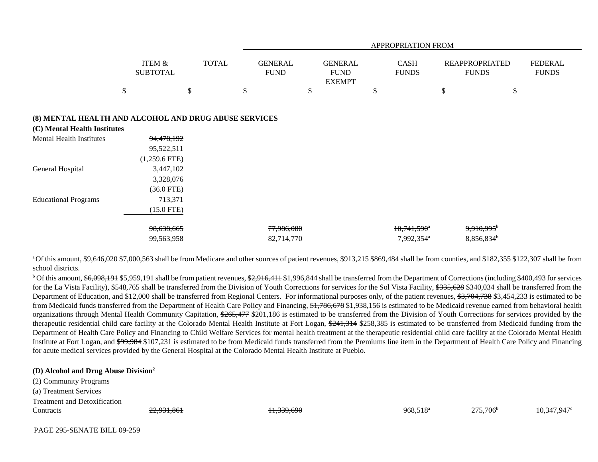|                                                                                       |                                             |              |                               |                                                | APPROPRIATION FROM                             |                                                    |                                |
|---------------------------------------------------------------------------------------|---------------------------------------------|--------------|-------------------------------|------------------------------------------------|------------------------------------------------|----------------------------------------------------|--------------------------------|
|                                                                                       | ITEM &<br><b>SUBTOTAL</b>                   | <b>TOTAL</b> | <b>GENERAL</b><br><b>FUND</b> | <b>GENERAL</b><br><b>FUND</b><br><b>EXEMPT</b> | <b>CASH</b><br><b>FUNDS</b>                    | <b>REAPPROPRIATED</b><br><b>FUNDS</b>              | <b>FEDERAL</b><br><b>FUNDS</b> |
|                                                                                       | \$                                          | \$           | \$                            | \$                                             | \$                                             | \$                                                 | \$                             |
| (8) MENTAL HEALTH AND ALCOHOL AND DRUG ABUSE SERVICES<br>(C) Mental Health Institutes |                                             |              |                               |                                                |                                                |                                                    |                                |
| <b>Mental Health Institutes</b>                                                       | 94,478,192<br>95,522,511<br>$(1,259.6$ FTE) |              |                               |                                                |                                                |                                                    |                                |
| General Hospital                                                                      | 3,447,102<br>3,328,076<br>$(36.0$ FTE)      |              |                               |                                                |                                                |                                                    |                                |
| <b>Educational Programs</b>                                                           | 713,371<br>$(15.0$ FTE)                     |              |                               |                                                |                                                |                                                    |                                |
|                                                                                       | 98,638,665<br>99,563,958                    |              | 77,986,080<br>82,714,770      |                                                | $10,741,590^{\circ}$<br>7,992,354 <sup>a</sup> | $9,910,995$ <sup>b</sup><br>8,856,834 <sup>b</sup> |                                |

<sup>a</sup>Of this amount, \$9,646,020 \$7,000,563 shall be from Medicare and other sources of patient revenues, \$913,215 \$869,484 shall be from counties, and \$182,355 \$122,307 shall be from school districts.

 $^{\text{b}}$  Of this amount,  $$6,098,191$  \$5,959,191 shall be from patient revenues,  $$2,916,411$  \$1,996,844 shall be transferred from the Department of Corrections (including \$400,493 for services for the La Vista Facility), \$548,765 shall be transferred from the Division of Youth Corrections for services for the Sol Vista Facility, \$335,628 \$340,034 shall be transferred from the Department of Education, and \$12,000 shall be transferred from Regional Centers. For informational purposes only, of the patient revenues, \$3,704,738 \$3,454,233 is estimated to be from Medicaid funds transferred from the Department of Health Care Policy and Financing,  $\frac{4,786,678}{31,938,156}$  is estimated to be Medicaid revenue earned from behavioral health organizations through Mental Health Community Capitation, \$265,477 \$201,186 is estimated to be transferred from the Division of Youth Corrections for services provided by the therapeutic residential child care facility at the Colorado Mental Health Institute at Fort Logan, \$241,314 \$258,385 is estimated to be transferred from Medicaid funding from the Department of Health Care Policy and Financing to Child Welfare Services for mental health treatment at the therapeutic residential child care facility at the Colorado Mental Health Institute at Fort Logan, and \$99,984 \$107,231 is estimated to be from Medicaid funds transferred from the Premiums line item in the Department of Health Care Policy and Financing for acute medical services provided by the General Hospital at the Colorado Mental Health Institute at Pueblo.

#### **(D) Alcohol and Drug Abuse Division<sup>2</sup>**

(2) Community Programs (a) Treatment Services Treatment and Detoxification

 $\text{Contracts}$  22,931,861 22,931,861  $\text{H}$ ,339,690 968,518<sup>a</sup> 275,706<sup>b</sup> 10,347,947°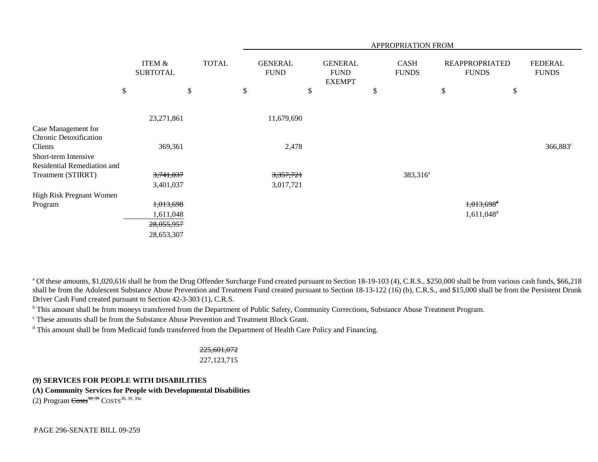|                               |        |                                                      |  | APPROPRIATION FROM            |            |                                                |  |    |                             |                                       |                          |    |                                |
|-------------------------------|--------|------------------------------------------------------|--|-------------------------------|------------|------------------------------------------------|--|----|-----------------------------|---------------------------------------|--------------------------|----|--------------------------------|
|                               |        | <b>TOTAL</b><br><b>ITEM &amp;</b><br><b>SUBTOTAL</b> |  | <b>GENERAL</b><br><b>FUND</b> |            | <b>GENERAL</b><br><b>FUND</b><br><b>EXEMPT</b> |  |    | <b>CASH</b><br><b>FUNDS</b> | <b>REAPPROPRIATED</b><br><b>FUNDS</b> |                          |    | <b>FEDERAL</b><br><b>FUNDS</b> |
|                               | $\$\,$ | \$                                                   |  | \$                            |            | \$                                             |  | \$ |                             | \$                                    |                          | \$ |                                |
|                               |        |                                                      |  |                               |            |                                                |  |    |                             |                                       |                          |    |                                |
|                               |        | 23,271,861                                           |  |                               | 11,679,690 |                                                |  |    |                             |                                       |                          |    |                                |
| Case Management for           |        |                                                      |  |                               |            |                                                |  |    |                             |                                       |                          |    |                                |
| <b>Chronic Detoxification</b> |        |                                                      |  |                               |            |                                                |  |    |                             |                                       |                          |    |                                |
| Clients                       |        | 369,361                                              |  |                               | 2,478      |                                                |  |    |                             |                                       |                          |    | 366,883 <sup>c</sup>           |
| Short-term Intensive          |        |                                                      |  |                               |            |                                                |  |    |                             |                                       |                          |    |                                |
| Residential Remediation and   |        |                                                      |  |                               |            |                                                |  |    |                             |                                       |                          |    |                                |
| Treatment (STIRRT)            |        | 3,741,037                                            |  |                               | 3,357,721  |                                                |  |    | 383,316 <sup>a</sup>        |                                       |                          |    |                                |
|                               |        | 3,401,037                                            |  |                               | 3,017,721  |                                                |  |    |                             |                                       |                          |    |                                |
| High Risk Pregnant Women      |        |                                                      |  |                               |            |                                                |  |    |                             |                                       |                          |    |                                |
| Program                       |        | 1,013,698                                            |  |                               |            |                                                |  |    |                             |                                       | $1,013,698$ <sup>d</sup> |    |                                |
|                               |        | 1,611,048                                            |  |                               |            |                                                |  |    |                             |                                       | $1,611,048$ <sup>d</sup> |    |                                |
|                               |        | 28,055,957                                           |  |                               |            |                                                |  |    |                             |                                       |                          |    |                                |
|                               |        | 28,653,307                                           |  |                               |            |                                                |  |    |                             |                                       |                          |    |                                |

<sup>a</sup> Of these amounts, \$1,020,616 shall be from the Drug Offender Surcharge Fund created pursuant to Section 18-19-103 (4), C.R.S., \$250,000 shall be from various cash funds, \$66,218 shall be from the Adolescent Substance Abuse Prevention and Treatment Fund created pursuant to Section 18-13-122 (16) (b), C.R.S., and \$15,000 shall be from the Persistent Drunk Driver Cash Fund created pursuant to Section 42-3-303 (1), C.R.S.

<sup>b</sup> This amount shall be from moneys transferred from the Department of Public Safety, Community Corrections, Substance Abuse Treatment Program.

c These amounts shall be from the Substance Abuse Prevention and Treatment Block Grant.

<sup>d</sup> This amount shall be from Medicaid funds transferred from the Department of Health Care Policy and Financing.

## 225,601,072

227,123,715

# **(9) SERVICES FOR PEOPLE WITH DISABILITIES**

**(A) Community Services for People with Developmental Disabilities**

(2) Program  $\text{Costs}^{38, 39}$  COSTS<sup>38, 39, 39a</sup>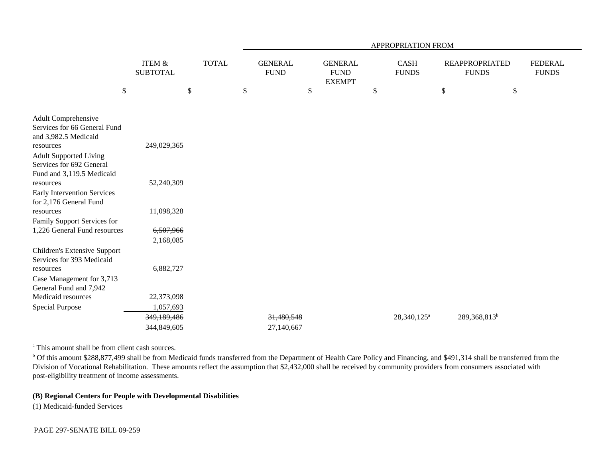|                                                                                                     |                           |              | <b>APPROPRIATION FROM</b> |                               |    |                                                |    |                         |                                       |                          |                                |  |
|-----------------------------------------------------------------------------------------------------|---------------------------|--------------|---------------------------|-------------------------------|----|------------------------------------------------|----|-------------------------|---------------------------------------|--------------------------|--------------------------------|--|
|                                                                                                     | ITEM &<br><b>SUBTOTAL</b> | <b>TOTAL</b> |                           | <b>GENERAL</b><br><b>FUND</b> |    | <b>GENERAL</b><br><b>FUND</b><br><b>EXEMPT</b> |    | CASH<br><b>FUNDS</b>    | <b>REAPPROPRIATED</b><br><b>FUNDS</b> |                          | <b>FEDERAL</b><br><b>FUNDS</b> |  |
| $\$$                                                                                                | $\$\,$                    |              | \$                        |                               | \$ |                                                | \$ |                         | $\mathbb{S}$                          | \$                       |                                |  |
| <b>Adult Comprehensive</b><br>Services for 66 General Fund<br>and 3,982.5 Medicaid                  |                           |              |                           |                               |    |                                                |    |                         |                                       |                          |                                |  |
| resources<br><b>Adult Supported Living</b><br>Services for 692 General<br>Fund and 3,119.5 Medicaid | 249,029,365               |              |                           |                               |    |                                                |    |                         |                                       |                          |                                |  |
| resources<br><b>Early Intervention Services</b><br>for 2,176 General Fund                           | 52,240,309                |              |                           |                               |    |                                                |    |                         |                                       |                          |                                |  |
| resources<br>Family Support Services for                                                            | 11,098,328                |              |                           |                               |    |                                                |    |                         |                                       |                          |                                |  |
| 1,226 General Fund resources                                                                        | 6,507,966                 |              |                           |                               |    |                                                |    |                         |                                       |                          |                                |  |
|                                                                                                     | 2,168,085                 |              |                           |                               |    |                                                |    |                         |                                       |                          |                                |  |
| Children's Extensive Support<br>Services for 393 Medicaid                                           |                           |              |                           |                               |    |                                                |    |                         |                                       |                          |                                |  |
| resources<br>Case Management for 3,713<br>General Fund and 7,942                                    | 6,882,727                 |              |                           |                               |    |                                                |    |                         |                                       |                          |                                |  |
| Medicaid resources                                                                                  | 22,373,098                |              |                           |                               |    |                                                |    |                         |                                       |                          |                                |  |
| <b>Special Purpose</b>                                                                              | 1,057,693                 |              |                           |                               |    |                                                |    |                         |                                       |                          |                                |  |
|                                                                                                     | 349,189,486               |              |                           | 31,480,548                    |    |                                                |    | 28,340,125 <sup>a</sup> |                                       | 289,368,813 <sup>b</sup> |                                |  |
|                                                                                                     | 344,849,605               |              |                           | 27,140,667                    |    |                                                |    |                         |                                       |                          |                                |  |

<sup>a</sup> This amount shall be from client cash sources.

<sup>b</sup> Of this amount \$288,877,499 shall be from Medicaid funds transferred from the Department of Health Care Policy and Financing, and \$491,314 shall be transferred from the Division of Vocational Rehabilitation. These amounts reflect the assumption that \$2,432,000 shall be received by community providers from consumers associated with post-eligibility treatment of income assessments.

# **(B) Regional Centers for People with Developmental Disabilities**

(1) Medicaid-funded Services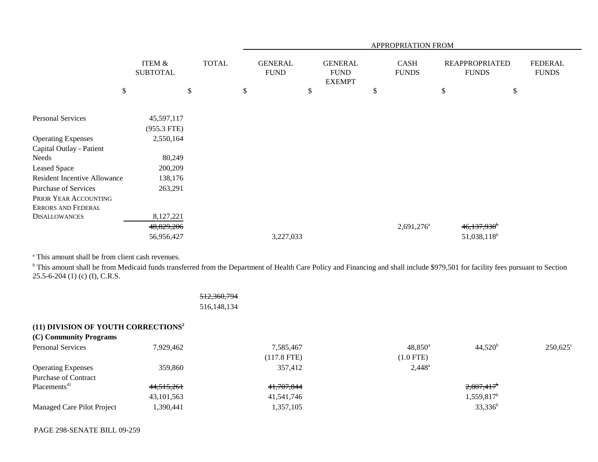|                                     |                                      |              |    | APPROPRIATION FROM            |    |                                                |    |                             |                                       |                           |                                |  |  |
|-------------------------------------|--------------------------------------|--------------|----|-------------------------------|----|------------------------------------------------|----|-----------------------------|---------------------------------------|---------------------------|--------------------------------|--|--|
|                                     | <b>ITEM &amp;</b><br><b>SUBTOTAL</b> | <b>TOTAL</b> |    | <b>GENERAL</b><br><b>FUND</b> |    | <b>GENERAL</b><br><b>FUND</b><br><b>EXEMPT</b> |    | <b>CASH</b><br><b>FUNDS</b> | <b>REAPPROPRIATED</b><br><b>FUNDS</b> |                           | <b>FEDERAL</b><br><b>FUNDS</b> |  |  |
|                                     | $\$$                                 | \$           | \$ |                               | \$ |                                                | \$ |                             | \$                                    | \$                        |                                |  |  |
| Personal Services                   | 45,597,117<br>$(955.3$ FTE)          |              |    |                               |    |                                                |    |                             |                                       |                           |                                |  |  |
| <b>Operating Expenses</b>           | 2,550,164                            |              |    |                               |    |                                                |    |                             |                                       |                           |                                |  |  |
| Capital Outlay - Patient            |                                      |              |    |                               |    |                                                |    |                             |                                       |                           |                                |  |  |
| Needs                               | 80,249                               |              |    |                               |    |                                                |    |                             |                                       |                           |                                |  |  |
| <b>Leased Space</b>                 | 200,209                              |              |    |                               |    |                                                |    |                             |                                       |                           |                                |  |  |
| <b>Resident Incentive Allowance</b> | 138,176                              |              |    |                               |    |                                                |    |                             |                                       |                           |                                |  |  |
| <b>Purchase of Services</b>         | 263,291                              |              |    |                               |    |                                                |    |                             |                                       |                           |                                |  |  |
| PRIOR YEAR ACCOUNTING               |                                      |              |    |                               |    |                                                |    |                             |                                       |                           |                                |  |  |
| <b>ERRORS AND FEDERAL</b>           |                                      |              |    |                               |    |                                                |    |                             |                                       |                           |                                |  |  |
| <b>DISALLOWANCES</b>                | 8,127,221                            |              |    |                               |    |                                                |    |                             |                                       |                           |                                |  |  |
|                                     | 48,829,206                           |              |    |                               |    |                                                |    | $2,691,276$ <sup>a</sup>    |                                       | $46,137,930$ <sup>b</sup> |                                |  |  |
|                                     | 56,956,427                           |              |    | 3,227,033                     |    |                                                |    |                             |                                       | $51,038,118^b$            |                                |  |  |

<sup>a</sup> This amount shall be from client cash revenues.

<sup>b</sup> This amount shall be from Medicaid funds transferred from the Department of Health Care Policy and Financing and shall include \$979,501 for facility fees pursuant to Section 25.5-6-204 (1) (c) (I), C.R.S.

|                                                 |              | 512,360,794   |                  |                          |                   |
|-------------------------------------------------|--------------|---------------|------------------|--------------------------|-------------------|
|                                                 |              | 516,148,134   |                  |                          |                   |
| (11) DIVISION OF YOUTH CORRECTIONS <sup>2</sup> |              |               |                  |                          |                   |
| (C) Community Programs                          |              |               |                  |                          |                   |
| <b>Personal Services</b>                        | 7,929,462    | 7,585,467     | $48,850^{\rm a}$ | 44,520 <sup>b</sup>      | $250,625^{\circ}$ |
|                                                 |              | $(117.8$ FTE) | $(1.0$ FTE)      |                          |                   |
| <b>Operating Expenses</b>                       | 359,860      | 357,412       | $2,448^{\circ}$  |                          |                   |
| <b>Purchase of Contract</b>                     |              |               |                  |                          |                   |
| Placements <sup>41</sup>                        | 44,515,261   | 41,707,844    |                  | $2,807,417$ <sup>b</sup> |                   |
|                                                 | 43, 101, 563 | 41,541,746    |                  | $1,559,817^b$            |                   |
| Managed Care Pilot Project                      | 1,390,441    | 1,357,105     |                  | $33,336^b$               |                   |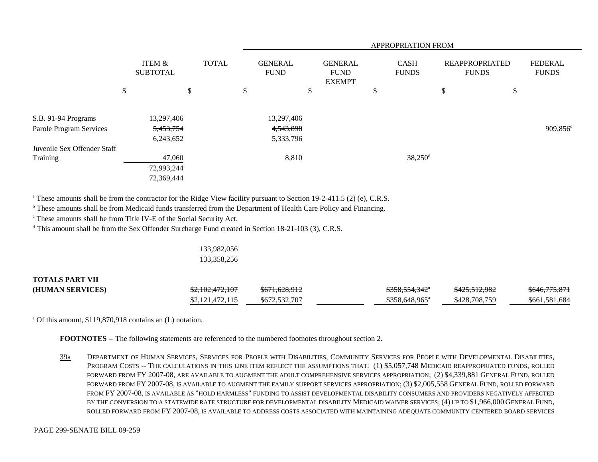|                             |                           |              | APPROPRIATION FROM            |    |                                                |    |                             |                                       |  |    |                                |
|-----------------------------|---------------------------|--------------|-------------------------------|----|------------------------------------------------|----|-----------------------------|---------------------------------------|--|----|--------------------------------|
|                             | ITEM &<br><b>SUBTOTAL</b> | <b>TOTAL</b> | <b>GENERAL</b><br><b>FUND</b> |    | <b>GENERAL</b><br><b>FUND</b><br><b>EXEMPT</b> |    | <b>CASH</b><br><b>FUNDS</b> | <b>REAPPROPRIATED</b><br><b>FUNDS</b> |  |    | <b>FEDERAL</b><br><b>FUNDS</b> |
|                             | \$                        | \$           | \$                            | \$ |                                                | \$ |                             | \$                                    |  | \$ |                                |
| S.B. 91-94 Programs         | 13,297,406                |              | 13,297,406                    |    |                                                |    |                             |                                       |  |    |                                |
| Parole Program Services     | 5,453,754<br>6,243,652    |              | 4,543,898<br>5,333,796        |    |                                                |    |                             |                                       |  |    | 909,856 <sup>c</sup>           |
| Juvenile Sex Offender Staff |                           |              |                               |    |                                                |    |                             |                                       |  |    |                                |
| Training                    | 47,060<br>72,993,244      |              | 8,810                         |    |                                                |    | $38,250$ <sup>d</sup>       |                                       |  |    |                                |
|                             | 72,369,444                |              |                               |    |                                                |    |                             |                                       |  |    |                                |

<sup>a</sup> These amounts shall be from the contractor for the Ridge View facility pursuant to Section 19-2-411.5 (2) (e), C.R.S.

<sup>b</sup> These amounts shall be from Medicaid funds transferred from the Department of Health Care Policy and Financing.

c These amounts shall be from Title IV-E of the Social Security Act.

<sup>d</sup> This amount shall be from the Sex Offender Surcharge Fund created in Section 18-21-103 (3), C.R.S.

#### 133,982,056 133,358,256

# **TOTALS PART VII(HUMAN SERVICES)** \$2,102,472,107 \$671,628,912 \$358,554,342 \$425,512,982 \$2,121,472,115 \$672,532,707 \$358,648,965<sup>a</sup> \$428,708,759 \$661,581,684

a Of this amount, \$119,870,918 contains an (L) notation.

**FOOTNOTES** -- The following statements are referenced to the numbered footnotes throughout section 2.

39a DEPARTMENT OF HUMAN SERVICES, SERVICES FOR PEOPLE WITH DISABILITIES, COMMUNITY SERVICES FOR PEOPLE WITH DEVELOPMENTAL DISABILITIES, PROGRAM COSTS -- THE CALCULATIONS IN THIS LINE ITEM REFLECT THE ASSUMPTIONS THAT: (1) \$5,057,748 MEDICAID REAPPROPRIATED FUNDS, ROLLED FORWARD FROM FY 2007-08, ARE AVAILABLE TO AUGMENT THE ADULT COMPREHENSIVE SERVICES APPROPRIATION; (2) \$4,339,881 GENERAL FUND, ROLLED FORWARD FROM FY 2007-08, IS AVAILABLE TO AUGMENT THE FAMILY SUPPORT SERVICES APPROPRIATION; (3) \$2,005,558 GENERAL FUND, ROLLED FORWARD FROM FY 2007-08, IS AVAILABLE AS "HOLD HARMLESS" FUNDING TO ASSIST DEVELOPMENTAL DISABILITY CONSUMERS AND PROVIDERS NEGATIVELY AFFECTED BY THE CONVERSION TO A STATEWIDE RATE STRUCTURE FOR DEVELOPMENTAL DISABILITY MEDICAID WAIVER SERVICES; (4) UP TO \$1,966,000 GENERAL FUND, ROLLED FORWARD FROM FY 2007-08, IS AVAILABLE TO ADDRESS COSTS ASSOCIATED WITH MAINTAINING ADEQUATE COMMUNITY CENTERED BOARD SERVICES